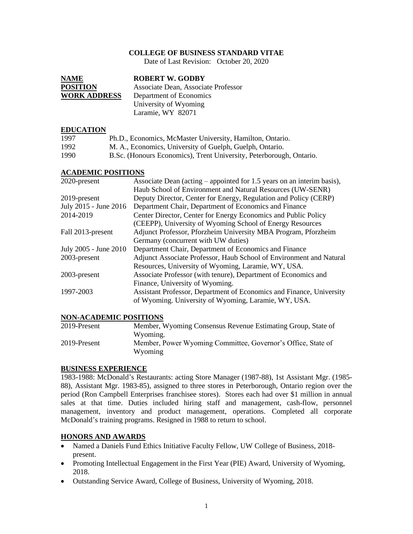### **COLLEGE OF BUSINESS STANDARD VITAE**

Date of Last Revision: October 20, 2020

| <b>NAME</b>         | <b>ROBERT W. GODBY</b>              |
|---------------------|-------------------------------------|
| <b>POSITION</b>     | Associate Dean, Associate Professor |
| <b>WORK ADDRESS</b> | Department of Economics             |
|                     | University of Wyoming               |
|                     | Laramie, WY 82071                   |

#### **EDUCATION**

| 1997 | Ph.D., Economics, McMaster University, Hamilton, Ontario.           |
|------|---------------------------------------------------------------------|
| 1992 | M. A., Economics, University of Guelph, Guelph, Ontario.            |
| 1990 | B.Sc. (Honours Economics), Trent University, Peterborough, Ontario. |

#### **ACADEMIC POSITIONS**

| 2020-present          | Associate Dean (acting – appointed for 1.5 years on an interim basis), |
|-----------------------|------------------------------------------------------------------------|
|                       | Haub School of Environment and Natural Resources (UW-SENR)             |
| 2019-present          | Deputy Director, Center for Energy, Regulation and Policy (CERP)       |
| July 2015 - June 2016 | Department Chair, Department of Economics and Finance                  |
| 2014-2019             | Center Director, Center for Energy Economics and Public Policy         |
|                       | (CEEPP), University of Wyoming School of Energy Resources              |
| Fall 2013-present     | Adjunct Professor, Pforzheim University MBA Program, Pforzheim         |
|                       | Germany (concurrent with UW duties)                                    |
| July 2005 - June 2010 | Department Chair, Department of Economics and Finance                  |
| 2003-present          | Adjunct Associate Professor, Haub School of Environment and Natural    |
|                       | Resources, University of Wyoming, Laramie, WY, USA.                    |
| 2003-present          | Associate Professor (with tenure), Department of Economics and         |
|                       | Finance, University of Wyoming.                                        |
| 1997-2003             | Assistant Professor, Department of Economics and Finance, University   |
|                       | of Wyoming. University of Wyoming, Laramie, WY, USA.                   |
|                       |                                                                        |

#### **NON-ACADEMIC POSITIONS**

| 2019-Present | Member, Wyoming Consensus Revenue Estimating Group, State of |
|--------------|--------------------------------------------------------------|
|              | Wyoming.                                                     |
| 2019-Present | Member, Power Wyoming Committee, Governor's Office, State of |
|              | Wyoming                                                      |

#### **BUSINESS EXPERIENCE**

1983-1988: McDonald's Restaurants: acting Store Manager (1987-88), 1st Assistant Mgr. (1985- 88), Assistant Mgr. 1983-85), assigned to three stores in Peterborough, Ontario region over the period (Ron Campbell Enterprises franchisee stores). Stores each had over \$1 million in annual sales at that time. Duties included hiring staff and management, cash-flow, personnel management, inventory and product management, operations. Completed all corporate McDonald's training programs. Resigned in 1988 to return to school.

## **HONORS AND AWARDS**

- Named a Daniels Fund Ethics Initiative Faculty Fellow, UW College of Business, 2018present.
- Promoting Intellectual Engagement in the First Year (PIE) Award, University of Wyoming, 2018.
- Outstanding Service Award, College of Business, University of Wyoming, 2018.